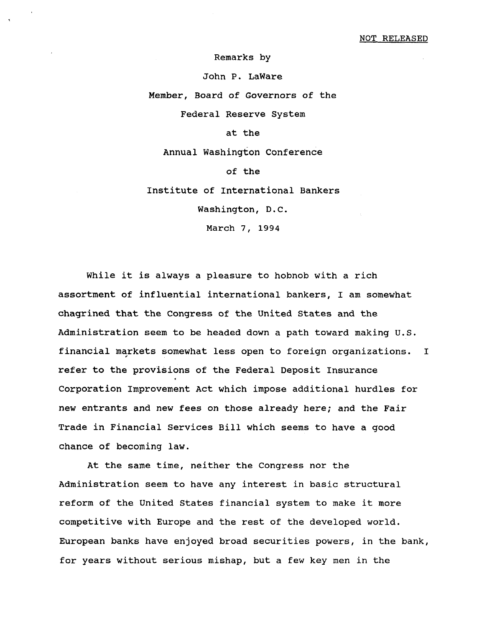**Remarks by**

**John P. LaWare**

**Member, Board of Governors of the**

**Federal Reserve System**

**at the**

**Annual Washington Conference**

**of the**

**Institute of International Bankers**

**Washington, D.C.**

**March 7, 1994**

**While it is always a pleasure to hobnob with a rich assortment of influential international bankers, I am somewhat chagrined that the Congress of the United States and the Administration seem to be headed down a path toward making U.S. financial markets somewhat less open to foreign organizations. I refer to the provisions of the Federal Deposit Insurance Corporation Improvement Act which impose additional hurdles for new entrants and new fees on those already here; and the Fair Trade in Financial Services Bill which seems to have a good chance of becoming law.**

**At the same time, neither the Congress nor the Administration seem to have any interest in basic structural reform of the United States financial system to make it more competitive with Europe and the rest of the developed world. European banks have enjoyed broad securities powers, in the bank, for years without serious mishap, but a few key men in the**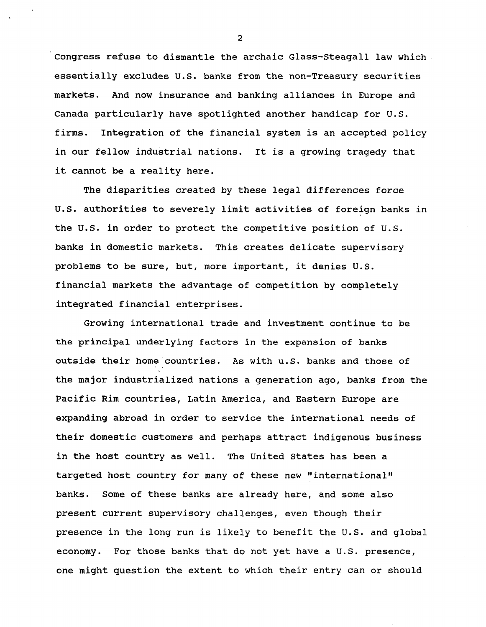**Congress refuse to dismantle the archaic Glass-Steagall law which essentially excludes U.S. banks from the non-Treasury securities markets. And now insurance and banking alliances in Europe and Canada particularly have spotlighted another handicap for U.S. firms. Integration of the financial system is an accepted policy in our fellow industrial nations. It is a growing tragedy that it cannot be a reality here.**

**The disparities created by these legal differences force U.S. authorities to severely limit activities of foreign banks in the U.S. in order to protect the competitive position of U.S. banks in domestic markets. This creates delicate supervisory problems to be sure, but, more important, it denies U.S. financial markets the advantage of competition by completely integrated financial enterprises.**

**Growing international trade and investment continue to be the principal underlying factors in the expansion of banks outside their home countries. As with U.S. banks and those of the major industrialized nations a generation ago, banks from the Pacific Rim countries, Latin America, and Eastern Europe are expanding abroad in order to service the international needs of their domestic customers and perhaps attract indigenous business in the host country as well. The United States has been a targeted host country for many of these new "international" banks. Some of these banks are already here, and some also present current supervisory challenges, even though their presence in the long run is likely to benefit the U.S. and global economy. For those banks that do not yet have a U.S. presence, one might question the extent to which their entry can or should**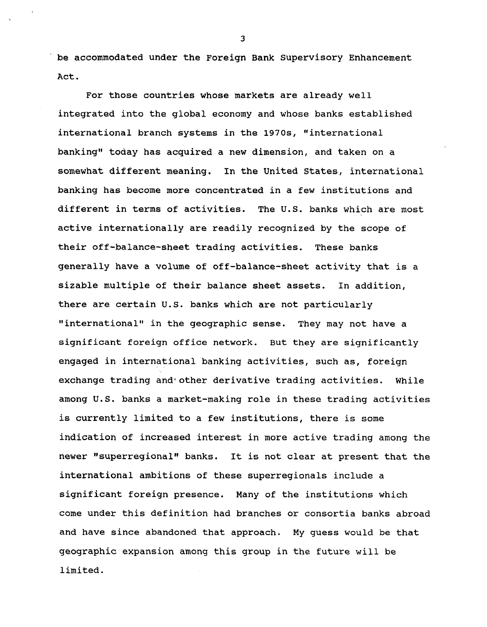**be accommodated under the Foreign Bank Supervisory Enhancement Act.**

**For those countries whose markets are already well integrated into the global economy and whose banks established international branch systems in the 1970s, "international banking" today has acquired a new dimension, and taken on a somewhat different meaning. In the United States, international banking has become more concentrated in a few institutions and different in terms of activities. The U.S. banks which are most active internationally are readily recognized by the scope of their off-balance-sheet trading activities. These banks generally have a volume of off-balance-sheet activity that is a sizable multiple of their balance sheet assets. In addition, there are certain U.S. banks which are not particularly "international" in the geographic sense. They may not have a significant foreign office network. But they are significantly engaged in international banking activities, such as, foreign exchange trading and'other derivative trading activities. While among U.S. banks a market-making role in these trading activities is currently limited to a few institutions, there is some indication of increased interest in more active trading among the newer "superregional" banks. It is not clear at present that the international ambitions of these superregionals include a significant foreign presence. Many of the institutions which come under this definition had branches or consortia banks abroad and have since abandoned that approach. My guess would be that geographic expansion among this group in the future will be limited.**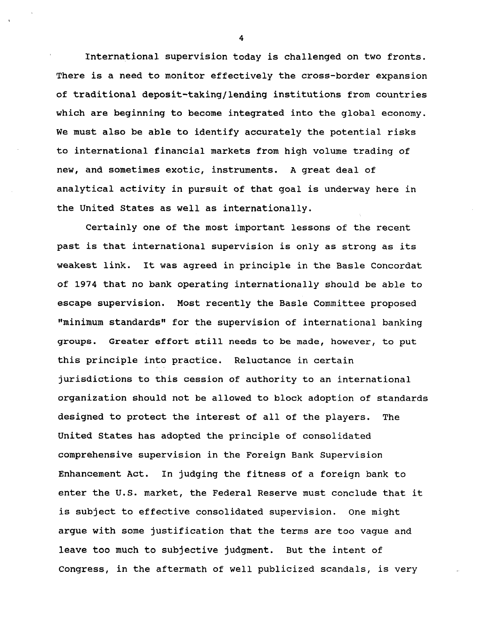**International supervision today is challenged on two fronts. There is a need to monitor effectively the cross-border expansion of traditional deposit-taking/lending institutions from countries which are beginning to become integrated into the global economy. We must also be able to identify accurately the potential risks to international financial markets from high volume trading of new, and sometimes exotic, instruments. A great deal of analytical activity in pursuit of that goal is underway here in the United States as well as internationally.**

**Certainly one of the most important lessons of the recent past is that international supervision is only as strong as its weakest link. It was agreed in principle in the Basle Concordat of 1974 that no bank operating internationally should be able to escape supervision. Most recently the Basle Committee proposed "minimum standards" for the supervision of international banking groups. Greater effort still needs to be made, however, to put this principle into practice. Reluctance in certain jurisdictions to this cession of authority to an international organization should not be allowed to block adoption of standards designed to protect the interest of all of the players. The United States has adopted the principle of consolidated comprehensive supervision in the Foreign Bank Supervision Enhancement Act. In judging the fitness of a foreign bank to enter the U.S. market, the Federal Reserve must conclude that it is subject to effective consolidated supervision. One might argue with some justification that the terms are too vague and leave too much to subjective judgment. But the intent of Congress, in the aftermath of well publicized scandals, is very**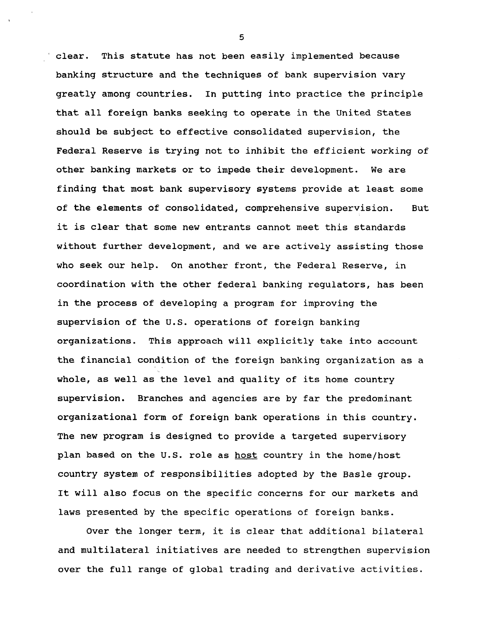**<sup>1</sup> clear. This statute has not been easily implemented because banking structure and the techniques of bank supervision vary greatly among countries. In putting into practice the principle that all foreign banks seeking to operate in the United States should be subject to effective consolidated supervision, the Federal Reserve is trying not to inhibit the efficient working of other banking markets or to impede their development. We are finding that most bank supervisory systems provide at least some of the elements of consolidated, comprehensive supervision. But it is clear that some new entrants cannot meet this standards without further development, and we are actively assisting those who seek our help. On another front, the Federal Reserve, in coordination with the other federal banking regulators, has been in the process of developing a program for improving the supervision of the U.S. operations of foreign banking organizations. This approach will explicitly take into account the financial condition of the foreign banking organization as a whole, as well as the level and quality of its home country supervision. Branches and agencies are by far the predominant organizational form of foreign bank operations in this country. The new program is designed to provide a targeted supervisory plan based on the U.S. role as host country in the home/host country system of responsibilities adopted by the Basle group. It will also focus on the specific concerns for our markets and laws presented by the specific operations of foreign banks.**

**Over the longer term, it is clear that additional bilateral and multilateral initiatives are needed to strengthen supervision over the full range of global trading and derivative activities.**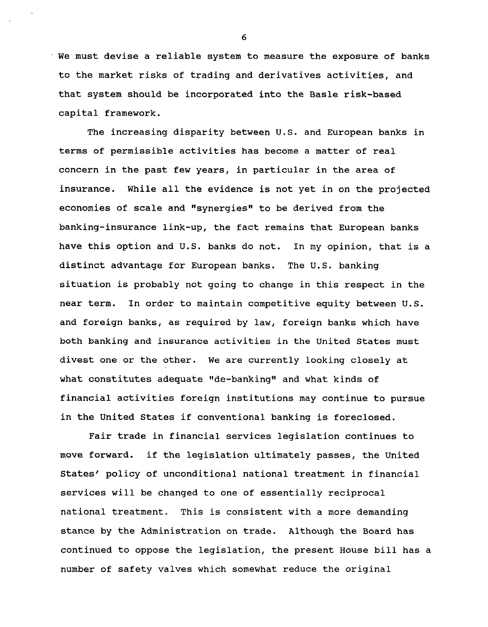**We must devise a reliable system to measure the exposure of banks to the market risks of trading and derivatives activities, and that system should be incorporated into the Basle risk-based capital framework.**

**The increasing disparity between U.S. and European banks in terms of permissible activities has become a matter of real concern in the past few years, in particular in the area of insurance. While all the evidence is not yet in on the projected economies of scale and "synergies" to be derived from the banking-insurance link-up, the fact remains that European banks have this option and U.S. banks do not. In my opinion, that is a distinct advantage for European banks. The U.S. banking situation is probably not going to change in this respect in the near term. In order to maintain competitive equity between U.S. and foreign banks, as required by law, foreign banks which have both banking and insurance activities in the United States must divest one or the other. We are currently looking closely at what constitutes adequate "de-banking" and what kinds of financial activities foreign institutions may continue to pursue in the United States if conventional banking is foreclosed.**

**Fair trade in financial services legislation continues to move forward. if the legislation ultimately passes, the United States' policy of unconditional national treatment in financial services will be changed to one of essentially reciprocal national treatment. This is consistent with a more demanding stance by the Administration on trade. Although the Board has continued to oppose the legislation, the present House bill has a number of safety valves which somewhat reduce the original**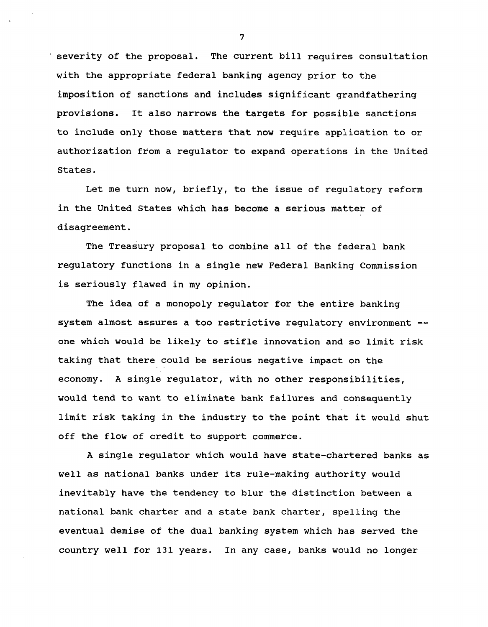**severity of the proposal. The current bill requires consultation with the appropriate federal banking agency prior to the imposition of sanctions and includes significant grandfathering provisions. It also narrows the targets for possible sanctions to include only those matters that now require application to or authorization from a regulator to expand operations in the United States.**

**Let me turn now, briefly, to the issue of regulatory reform in the United States which has become a serious matter of disagreement.**

**The Treasury proposal to combine all of the federal bank regulatory functions in a single new Federal Banking Commission is seriously flawed in my opinion.**

**The idea of a monopoly regulator for the entire banking system almost assures a too restrictive regulatory environment one which would be likely to stifle innovation and so limit risk taking that there could be serious negative impact on the economy. A single regulator, with no other responsibilities, would tend to want to eliminate bank failures and consequently limit risk taking in the industry to the point that it would shut off the flow of credit to support commerce.**

**A single regulator which would have state-chartered banks as well as national banks under its rule-making authority would inevitably have the tendency to blur the distinction between a national bank charter and a state bank charter, spelling the eventual demise of the dual banking system which has served the country well for 131 years. In any case, banks would no longer**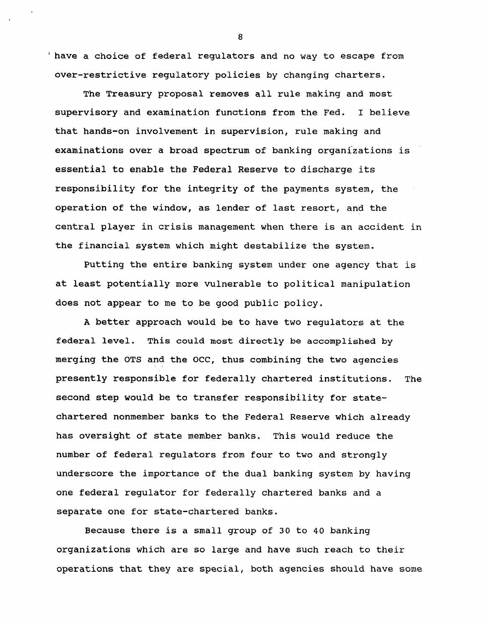**' have a choice of federal regulators and no way to escape from over-restrictive regulatory policies by changing charters.**

**The Treasury proposal removes all rule making and most supervisory and examination functions from the Fed. I believe that hands-on involvement in supervision, rule making and examinations over a broad spectrum of banking organizations is essential to enable the Federal Reserve to discharge its responsibility for the integrity of the payments system, the operation of the window, as lender of last resort, and the central player in crisis management when there is an accident in the financial system which might destabilize the system.**

**Putting the entire banking system under one agency that is at least potentially more vulnerable to political manipulation does not appear to me to be good public policy.**

**A better approach would be to have two regulators at the federal level. This could most directly be accomplished by merging the OTS and the OCC, thus combining the two agencies presently responsible for federally chartered institutions. The second step would be to transfer responsibility for statechartered nonmember banks to the Federal Reserve which already has oversight of state member banks. This would reduce the number of federal regulators from four to two and strongly underscore the importance of the dual banking system by having one federal regulator for federally chartered banks and a separate one for state-chartered banks.**

**Because there is a small group of 3 0 to 40 banking organizations which are so large and have such reach to their operations that they are special, both agencies should have some**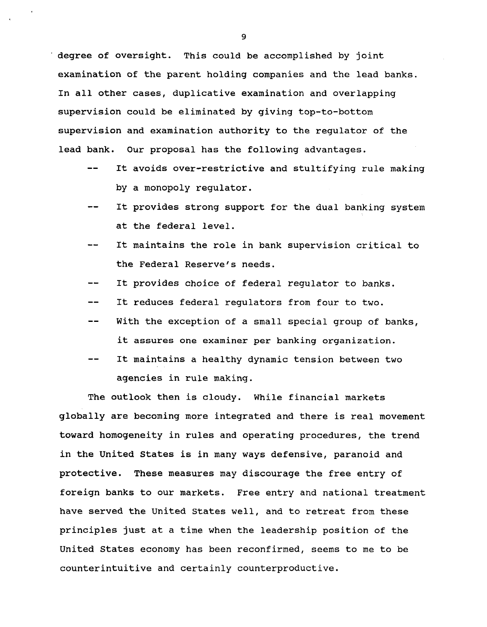**degree of oversight. This could be accomplished by joint examination of the parent holding companies and the lead banks. In all other cases, duplicative examination and overlapping supervision could be eliminated by giving top-to-bottom supervision and examination authority to the regulator of the lead bank. Our proposal has the following advantages.**

- **It avoids over-restrictive and stultifying rule making by a monopoly regulator.**
- **It provides strong support for the dual banking system at the federal level.**
- **It maintains the role in bank supervision critical to the Federal Reserve's needs.**
- **It provides choice of federal regulator to banks.**
- **It reduces federal regulators from four to two.**
- **With the exception of a small special group of banks,**  $-$ **it assures one examiner per banking organization.**
- **It maintains a healthy dynamic tension between two agencies in rule making.**

**The outlook then is cloudy. While financial markets globally are becoming more integrated and there is real movement toward homogeneity in rules and operating procedures, the trend in the United States is in many ways defensive, paranoid and protective. These measures may discourage the free entry of foreign banks to our markets. Free entry and national treatment have served the United States well, and to retreat from these principles just at a time when the leadership position of the United States economy has been reconfirmed, seems to me to be counterintuitive and certainly counterproductive.**